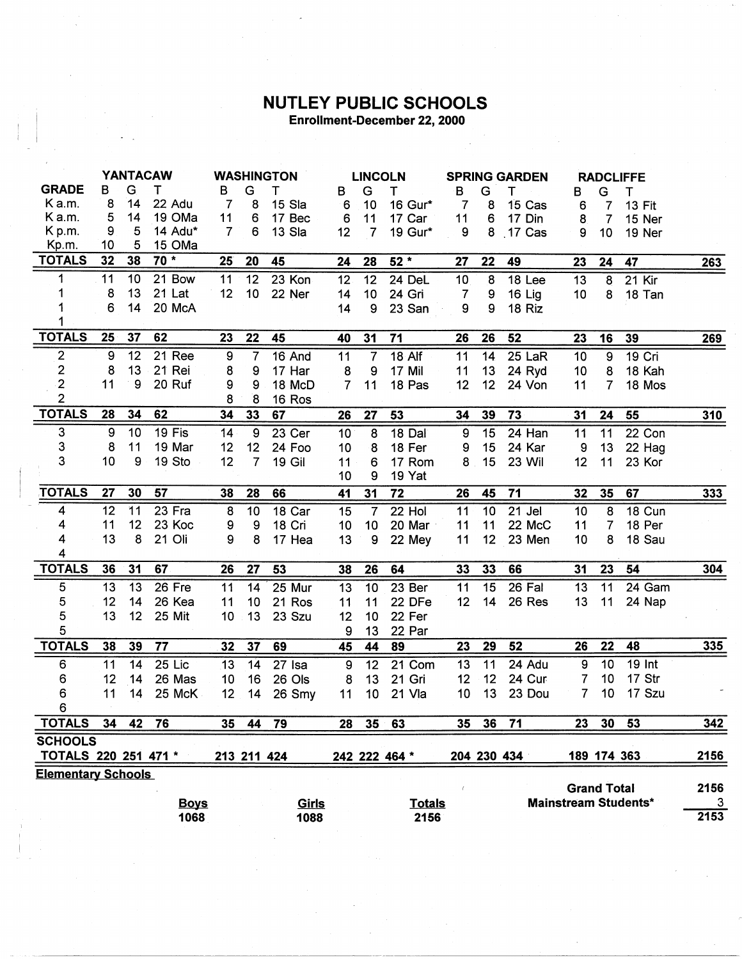## **NUTLEY PUBLIC SCHOOLS**<br>Enrollment-December 22, 2000

|                             | <b>YANTACAW</b> |    |             | <b>WASHINGTON</b> |                  |               | <b>LINCOLN</b>  |                 |                   | <b>SPRING GARDEN</b> |                  |             | <b>RADCLIFFE</b>   |                |                             |      |
|-----------------------------|-----------------|----|-------------|-------------------|------------------|---------------|-----------------|-----------------|-------------------|----------------------|------------------|-------------|--------------------|----------------|-----------------------------|------|
| <b>GRADE</b>                | в               | G  | т           | в                 | G                | т             | в               | G               | Τ                 | В                    | G                | Т           | в                  | G              | т                           |      |
| Ka.m.                       | 8               | 14 | 22 Adu      | $\overline{7}$    | 8                | 15 Sla        | 6               | 10              | 16 Gur*           | 7                    | 8                | 15 Cas      | 6                  | 7              | <b>13 Fit</b>               |      |
| K a.m.                      | 5               | 14 | 19 OMa      | 11                | 6                | 17 Bec        | 6               | 11              | 17 Car            | 11                   | $\boldsymbol{6}$ | 17 Din      | 8                  | $\overline{7}$ | 15 Ner                      |      |
| K p.m.                      | 9               | 5  | 14 Adu*     | 7                 | 6                | 13 Sla        | 12              | $\overline{7}$  | 19 Gur*           | 9                    | 8                | $.17$ Cas   | 9                  | 10             | 19 Ner                      |      |
| Kp.m.                       | 10              | 5  | 15 OMa      |                   |                  |               |                 |                 |                   |                      |                  |             |                    |                |                             |      |
| <b>TOTALS</b>               | 32              | 38 | $70 *$      | 25                | 20               | 45            | 24              | 28              | $52*$             | 27                   | 22               | 49          | 23                 | 24             | 47                          | 263  |
| 1                           | 11              | 10 | 21 Bow      | 11                | 12               | 23 Kon        | 12 <sub>2</sub> | 12              | 24 DeL            | 10 <sub>1</sub>      | 8                | 18 Lee      | 13                 | $\overline{8}$ | 21 Kir                      |      |
| 1                           | 8               | 13 | 21 Lat      | 12                | 10               | 22 Ner        | 14              | 10              | 24 Gri            | $\overline{7}$       | 9                | 16 Lig      | 10                 | 8              | 18 Tan                      |      |
| 1                           | 6               | 14 | 20 McA      |                   |                  |               | 14              | 9               | 23 San            | 9                    | 9                | 18 Riz      |                    |                |                             |      |
|                             |                 |    |             |                   |                  |               |                 |                 |                   |                      |                  |             |                    |                |                             |      |
| <b>TOTALS</b>               | 25              | 37 | 62          | 23                | 22               | 45            | 40              | 31              | 71                | 26                   | 26               | 52          | 23                 | 16             | 39                          | 269  |
| $\overline{2}$              | $\overline{9}$  | 12 | 21 Ree      | 9                 | $\overline{7}$   | 16 And        | $\overline{11}$ | $\overline{7}$  | $18$ Alf          | 11                   | 14               | $25$ LaR    | 10                 | $\overline{9}$ | 19 Cri                      |      |
| $\overline{2}$              | 8               | 13 | 21 Rei      | 8                 | 9                | 17 Har        | 8               | 9               | 17 Mil            | 11                   | 13               | 24 Ryd      | 10                 | 8              | 18 Kah                      |      |
| $\overline{2}$              | 11              | 9  | 20 Ruf      | 9                 | 9                | 18 McD        | $\overline{7}$  | 11              | 18 Pas            | 12                   | 12               | 24 Von      | 11                 | 7              | 18 Mos                      |      |
| $\overline{2}$              |                 |    |             | 8                 | $\boldsymbol{8}$ | 16 Ros        |                 |                 |                   |                      |                  |             |                    |                |                             |      |
| <b>TOTALS</b>               | 28              | 34 | 62          | 34                | 33               | 67            | 26              | 27              | 53                | 34                   | 39               | 73          | 31                 | 24             | 55                          | 310  |
| 3                           | 9               | 10 | 19 Fis      | 14                | $\boldsymbol{9}$ | 23 Cer        | 10              | $\overline{8}$  | 18 Dal            | -9                   | 15               | 24 Han      | 11                 | 11             | 22 Con                      |      |
| 3                           | 8               | 11 | 19 Mar      | 12                | 12 <sub>2</sub>  | 24 Foo        | 10              | 8               | 18 Fer            | 9                    | 15               | 24 Kar      | 9                  | 13             | 22 Hag                      |      |
| 3                           | 10              | 9  | 19 Sto      | 12                | $\overline{7}$   | <b>19 Gil</b> | 11              | 6               | 17 Rom            | 8                    | 15               | 23 Wil      | 12                 | 11             | 23 Kor                      |      |
|                             |                 |    |             |                   |                  |               | 10              | 9               | 19 Yat            |                      |                  |             |                    |                |                             |      |
| <b>TOTALS</b>               | 27              | 30 | 57          | 38                | 28               | 66            | 41              | 31              | $\overline{72}$   | 26                   | 45               | 71          | 32                 | 35             | 67                          | 333  |
| 4                           | 12              | 11 | $23$ Fra    | 8                 | 10               | 18 Car        | 15              | $\overline{7}$  | 22 Hol            | 11                   | 10               | 21 Jel      | 10                 | 8              | 18 Cun                      |      |
| 4                           | 11              | 12 | 23 Koc      | 9                 | 9                | 18 Cri        | 10              | 10              | 20 Mar            | 11                   | 11               | 22 McC      | 11                 | 7              | 18 Per                      |      |
| 4                           | 13              | 8  | 21 Oli      | 9                 | 8                | 17 Hea        | 13              | 9               | 22 Mey            | 11                   | 12 <sub>2</sub>  | 23 Men      | 10                 | 8              | 18 Sau                      |      |
| $\overline{\mathbf{4}}$     |                 |    |             |                   |                  |               |                 |                 |                   |                      |                  |             |                    |                |                             |      |
| <b>TOTALS</b>               | 36              | 31 | 67          | 26                | 27               | 53            | 38              | 26              | 64                | 33                   | 33               | 66          | 31                 | 23             | 54                          | 304  |
| 5                           | 13              | 13 | 26 Fre      | 11                | 14               | 25 Mur        | 13              | 10              | 23 <sub>ber</sub> | 11                   | 15               | $26$ Fal    | 13                 | 11             | 24 Gam                      |      |
| 5                           | 12              | 14 | 26 Kea      | 11                | 10 <sub>1</sub>  | 21 Ros        | 11              | 11              | 22 DFe            | 12                   | 14               | 26 Res      | 13                 | 11             | 24 Nap                      |      |
| 5                           | 13              | 12 | 25 Mit      | 10                | 13               | 23 Szu        | 12              | 10              | 22 Fer            |                      |                  |             |                    |                |                             |      |
| 5                           |                 |    |             |                   |                  |               | 9               | 13              | 22 Par            |                      |                  |             |                    |                |                             |      |
| <b>TOTALS</b>               | 38              | 39 | 77          | 32                | 37               | 69            | 45              | 44              | 89                | 23                   | 29               | 52          | 26                 | 22             | 48                          | 335  |
| 6                           | 11              | 14 | $25$ Lic    | 13                | 14               | 27 Isa        | 9               | 12              | 21 Com            | 13                   | 11               | 24 Adu      | 9                  | 10             | 19 Int                      |      |
| 6                           | 12              | 14 | 26 Mas      | 10                | 16               | 26 Ols        | 8               | 13              | 21 Gri            | 12                   | 12               | 24 Cur      | 7                  | 10             | 17 Str                      |      |
| 6                           | 11              | 14 | 25 McK      | 12                | 14               | 26 Smy        | 11              | 10              | 21 Vla            | 10                   | 13               | 23 Dou      | 7                  | 10             | 17 Szu                      |      |
| 6                           |                 |    |             |                   |                  |               |                 |                 |                   |                      |                  |             |                    |                |                             |      |
| <b>TOTALS</b>               | 34              | 42 | 76          | 35                | 44               | 79            | 28              | 35 <sub>2</sub> | 63                | 35                   | 36               | 71          | 23                 | 30             | 53                          | 342  |
| <b>SCHOOLS</b>              |                 |    |             |                   |                  |               |                 |                 |                   |                      |                  |             |                    |                |                             |      |
| <b>TOTALS 220 251 471 *</b> |                 |    |             |                   | 213 211 424      |               |                 |                 | 242 222 464 *     |                      |                  | 204 230 434 |                    |                | 189 174 363                 | 2156 |
| <b>Elementary Schools</b>   |                 |    |             |                   |                  |               |                 |                 |                   |                      |                  |             |                    |                |                             |      |
|                             |                 |    |             |                   |                  |               |                 |                 |                   |                      |                  |             | <b>Grand Total</b> |                |                             | 2156 |
|                             |                 |    | <b>Boys</b> |                   |                  | <u>Girls</u>  |                 |                 | <b>Totals</b>     |                      |                  |             |                    |                | <b>Mainstream Students*</b> | 3    |
|                             |                 |    | 1068        |                   |                  | 1088          |                 |                 | 2156              |                      |                  |             |                    |                |                             | 2153 |